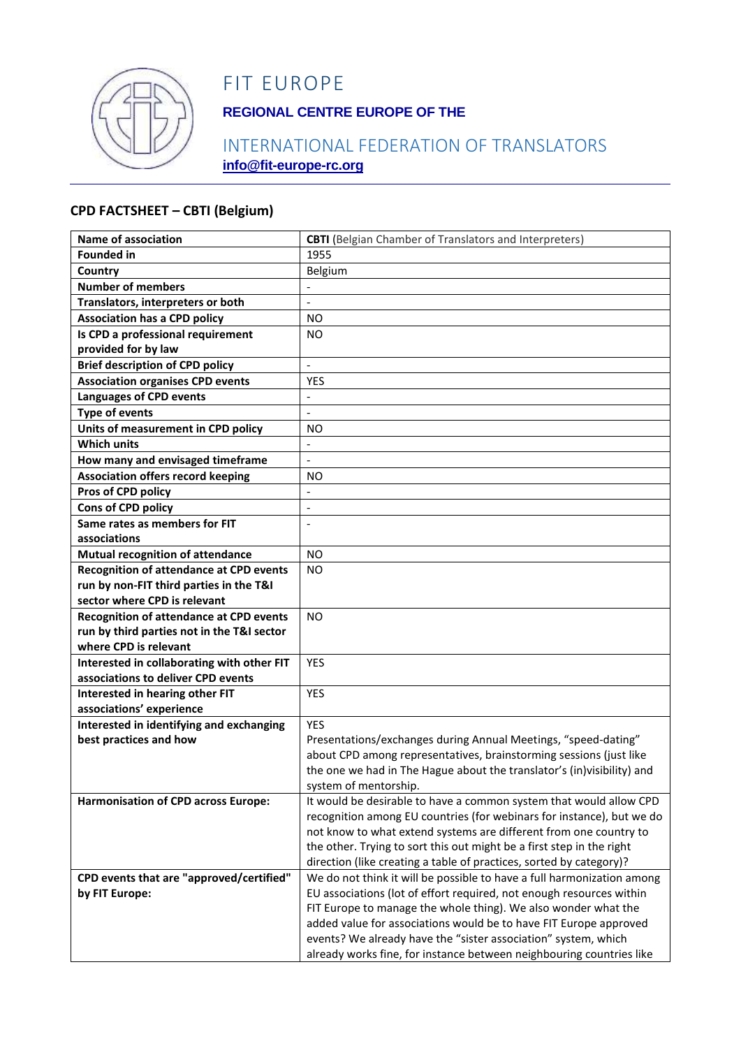

# FIT EUROPE

### **REGIONAL CENTRE EUROPE OF THE**

### INTERNATIONAL FEDERATION OF TRANSLATORS **info@fit-europe-rc.org**

#### **CPD FACTSHEET – CBTI (Belgium)**

| <b>Name of association</b>                     | <b>CBTI</b> (Belgian Chamber of Translators and Interpreters)                                                                                 |
|------------------------------------------------|-----------------------------------------------------------------------------------------------------------------------------------------------|
| <b>Founded in</b>                              | 1955                                                                                                                                          |
| Country                                        | Belgium                                                                                                                                       |
| <b>Number of members</b>                       |                                                                                                                                               |
| Translators, interpreters or both              | $\blacksquare$                                                                                                                                |
| <b>Association has a CPD policy</b>            | <b>NO</b>                                                                                                                                     |
| Is CPD a professional requirement              | NO.                                                                                                                                           |
| provided for by law                            |                                                                                                                                               |
| <b>Brief description of CPD policy</b>         | $\ddot{\phantom{a}}$                                                                                                                          |
| <b>Association organises CPD events</b>        | <b>YES</b>                                                                                                                                    |
| <b>Languages of CPD events</b>                 | $\frac{1}{2}$                                                                                                                                 |
| <b>Type of events</b>                          | $\overline{\phantom{a}}$                                                                                                                      |
| Units of measurement in CPD policy             | NO.                                                                                                                                           |
| <b>Which units</b>                             |                                                                                                                                               |
| How many and envisaged timeframe               | $\overline{a}$                                                                                                                                |
| <b>Association offers record keeping</b>       | NO.                                                                                                                                           |
| Pros of CPD policy                             |                                                                                                                                               |
| Cons of CPD policy                             |                                                                                                                                               |
| Same rates as members for FIT                  | $\blacksquare$                                                                                                                                |
| associations                                   |                                                                                                                                               |
| <b>Mutual recognition of attendance</b>        | <b>NO</b>                                                                                                                                     |
| <b>Recognition of attendance at CPD events</b> | <b>NO</b>                                                                                                                                     |
| run by non-FIT third parties in the T&I        |                                                                                                                                               |
| sector where CPD is relevant                   |                                                                                                                                               |
| Recognition of attendance at CPD events        | <b>NO</b>                                                                                                                                     |
| run by third parties not in the T&I sector     |                                                                                                                                               |
| where CPD is relevant                          |                                                                                                                                               |
| Interested in collaborating with other FIT     | <b>YES</b>                                                                                                                                    |
| associations to deliver CPD events             |                                                                                                                                               |
| Interested in hearing other FIT                | <b>YES</b>                                                                                                                                    |
| associations' experience                       |                                                                                                                                               |
| Interested in identifying and exchanging       | <b>YES</b>                                                                                                                                    |
| best practices and how                         | Presentations/exchanges during Annual Meetings, "speed-dating"                                                                                |
|                                                | about CPD among representatives, brainstorming sessions (just like                                                                            |
|                                                | the one we had in The Hague about the translator's (in)visibility) and                                                                        |
|                                                | system of mentorship.                                                                                                                         |
| <b>Harmonisation of CPD across Europe:</b>     | It would be desirable to have a common system that would allow CPD                                                                            |
|                                                | recognition among EU countries (for webinars for instance), but we do                                                                         |
|                                                | not know to what extend systems are different from one country to                                                                             |
|                                                | the other. Trying to sort this out might be a first step in the right                                                                         |
| CPD events that are "approved/certified"       | direction (like creating a table of practices, sorted by category)?<br>We do not think it will be possible to have a full harmonization among |
| by FIT Europe:                                 | EU associations (lot of effort required, not enough resources within                                                                          |
|                                                | FIT Europe to manage the whole thing). We also wonder what the                                                                                |
|                                                | added value for associations would be to have FIT Europe approved                                                                             |
|                                                | events? We already have the "sister association" system, which                                                                                |
|                                                | already works fine, for instance between neighbouring countries like                                                                          |
|                                                |                                                                                                                                               |